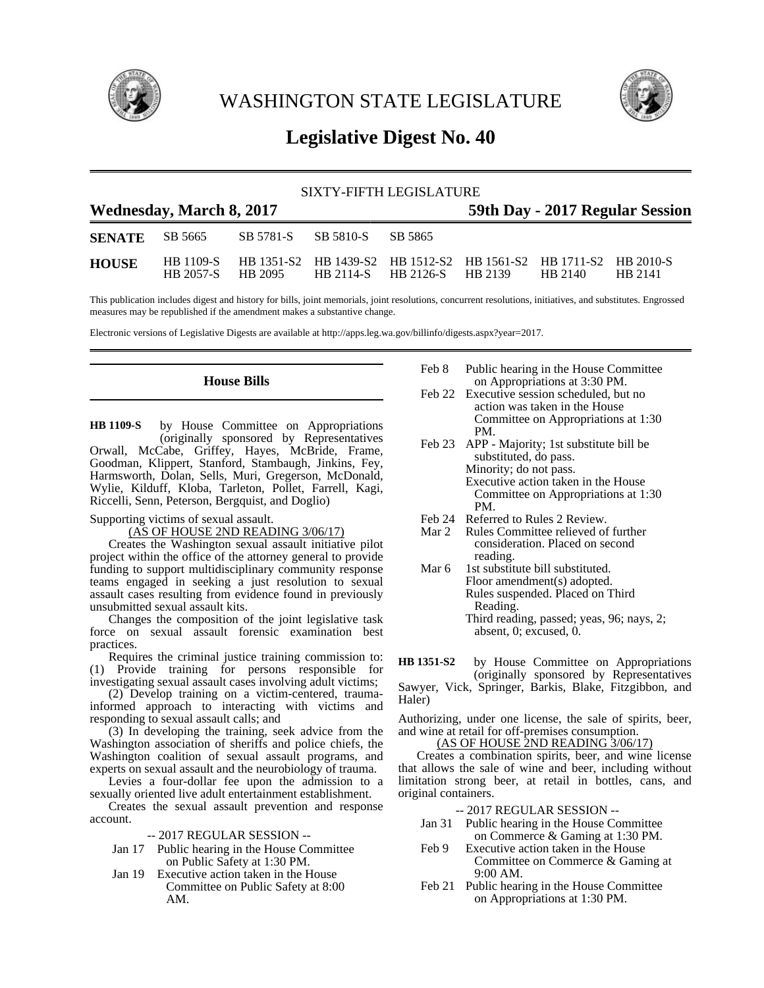

WASHINGTON STATE LEGISLATURE



# **Legislative Digest No. 40**

| SIXTY-FIFTH LEGISLATURE                                     |           |                                                                            |                                     |  |  |         |         |  |  |
|-------------------------------------------------------------|-----------|----------------------------------------------------------------------------|-------------------------------------|--|--|---------|---------|--|--|
| Wednesday, March 8, 2017<br>59th Day - 2017 Regular Session |           |                                                                            |                                     |  |  |         |         |  |  |
| <b>SENATE</b> SB 5665                                       |           |                                                                            | SB 5781-S SB 5810-S SB 5865         |  |  |         |         |  |  |
| <b>HOUSE</b>                                                | HB 2057-S | HB 1109-S HB 1351-S2 HB 1439-S2 HB 1512-S2 HB 1561-S2 HB 1711-S2 HB 2010-S | HB 2095 HB 2114-S HB 2126-S HB 2139 |  |  | HB 2140 | HB 2141 |  |  |

This publication includes digest and history for bills, joint memorials, joint resolutions, concurrent resolutions, initiatives, and substitutes. Engrossed measures may be republished if the amendment makes a substantive change.

Electronic versions of Legislative Digests are available at http://apps.leg.wa.gov/billinfo/digests.aspx?year=2017.

## **House Bills**

by House Committee on Appropriations (originally sponsored by Representatives Orwall, McCabe, Griffey, Hayes, McBride, Frame, Goodman, Klippert, Stanford, Stambaugh, Jinkins, Fey, Harmsworth, Dolan, Sells, Muri, Gregerson, McDonald, Wylie, Kilduff, Kloba, Tarleton, Pollet, Farrell, Kagi, Riccelli, Senn, Peterson, Bergquist, and Doglio) **HB 1109-S**

#### Supporting victims of sexual assault.

(AS OF HOUSE 2ND READING 3/06/17)

Creates the Washington sexual assault initiative pilot project within the office of the attorney general to provide funding to support multidisciplinary community response teams engaged in seeking a just resolution to sexual assault cases resulting from evidence found in previously unsubmitted sexual assault kits.

Changes the composition of the joint legislative task force on sexual assault forensic examination best practices.

Requires the criminal justice training commission to: (1) Provide training for persons responsible for investigating sexual assault cases involving adult victims;

(2) Develop training on a victim-centered, traumainformed approach to interacting with victims and responding to sexual assault calls; and

(3) In developing the training, seek advice from the Washington association of sheriffs and police chiefs, the Washington coalition of sexual assault programs, and experts on sexual assault and the neurobiology of trauma.

Levies a four-dollar fee upon the admission to a sexually oriented live adult entertainment establishment.

Creates the sexual assault prevention and response account.

-- 2017 REGULAR SESSION --

- Jan 17 Public hearing in the House Committee on Public Safety at 1:30 PM.
- Jan 19 Executive action taken in the House Committee on Public Safety at 8:00 AM.
- Feb 8 Public hearing in the House Committee on Appropriations at 3:30 PM.
- Feb 22 Executive session scheduled, but no action was taken in the House Committee on Appropriations at 1:30 PM.
- Feb 23 APP Majority; 1st substitute bill be substituted, do pass. Minority; do not pass. Executive action taken in the House Committee on Appropriations at 1:30 PM.
- Feb 24 Referred to Rules 2 Review.<br>Mar 2 Rules Committee relieved of
- Rules Committee relieved of further consideration. Placed on second reading.
- Mar 6 1st substitute bill substituted. Floor amendment(s) adopted. Rules suspended. Placed on Third Reading. Third reading, passed; yeas, 96; nays, 2; absent, 0; excused, 0.

by House Committee on Appropriations (originally sponsored by Representatives Sawyer, Vick, Springer, Barkis, Blake, Fitzgibbon, and Haler) **HB 1351-S2**

Authorizing, under one license, the sale of spirits, beer, and wine at retail for off-premises consumption.

(AS OF HOUSE 2ND READING 3/06/17)

Creates a combination spirits, beer, and wine license that allows the sale of wine and beer, including without limitation strong beer, at retail in bottles, cans, and original containers.

-- 2017 REGULAR SESSION --

- Jan 31 Public hearing in the House Committee on Commerce & Gaming at 1:30 PM.
- Feb 9 Executive action taken in the House Committee on Commerce & Gaming at 9:00 AM.
- Feb 21 Public hearing in the House Committee on Appropriations at 1:30 PM.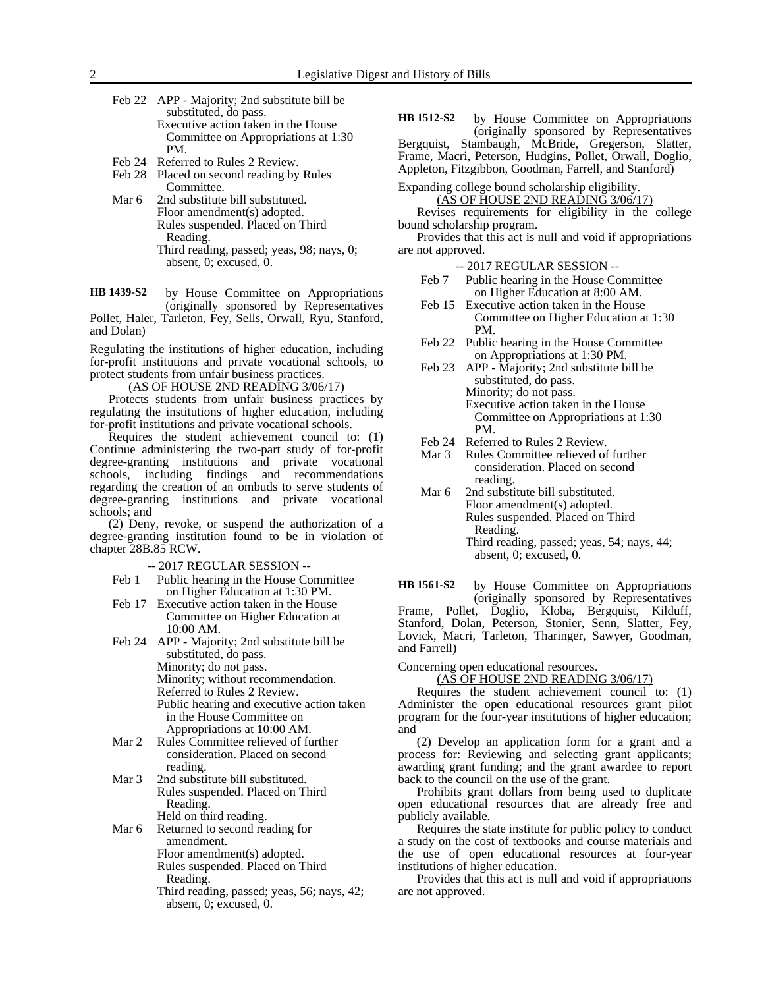- Feb 22 APP Majority; 2nd substitute bill be substituted, do pass. Executive action taken in the House Committee on Appropriations at 1:30 PM.
- Feb 24 Referred to Rules 2 Review.
- Feb 28 Placed on second reading by Rules Committee.
- Mar 6 2nd substitute bill substituted. Floor amendment(s) adopted. Rules suspended. Placed on Third Reading. Third reading, passed; yeas, 98; nays, 0; absent, 0; excused, 0.

by House Committee on Appropriations (originally sponsored by Representatives Pollet, Haler, Tarleton, Fey, Sells, Orwall, Ryu, Stanford, **HB 1439-S2**

and Dolan) Regulating the institutions of higher education, including for-profit institutions and private vocational schools, to

protect students from unfair business practices. (AS OF HOUSE 2ND READING 3/06/17)

Protects students from unfair business practices by regulating the institutions of higher education, including for-profit institutions and private vocational schools.

Requires the student achievement council to: (1) Continue administering the two-part study of for-profit degree-granting institutions and private vocational schools, including findings and recommendations regarding the creation of an ombuds to serve students of degree-granting institutions and private vocational schools; and

(2) Deny, revoke, or suspend the authorization of a degree-granting institution found to be in violation of chapter 28B.85 RCW.

-- 2017 REGULAR SESSION --

- Feb 1 Public hearing in the House Committee on Higher Education at 1:30 PM.
- Feb 17 Executive action taken in the House Committee on Higher Education at 10:00 AM.
- Feb 24 APP Majority; 2nd substitute bill be substituted, do pass. Minority; do not pass. Minority; without recommendation. Referred to Rules 2 Review. Public hearing and executive action taken in the House Committee on Appropriations at 10:00 AM.
- Mar 2 Rules Committee relieved of further consideration. Placed on second reading.
- Mar 3 2nd substitute bill substituted. Rules suspended. Placed on Third Reading. Held on third reading.

Mar 6 Returned to second reading for amendment. Floor amendment(s) adopted.

Rules suspended. Placed on Third Reading.

Third reading, passed; yeas, 56; nays, 42; absent, 0; excused, 0.

by House Committee on Appropriations (originally sponsored by Representatives Bergquist, Stambaugh, McBride, Gregerson, Slatter, Frame, Macri, Peterson, Hudgins, Pollet, Orwall, Doglio, Appleton, Fitzgibbon, Goodman, Farrell, and Stanford) **HB 1512-S2**

Expanding college bound scholarship eligibility.

(AS OF HOUSE 2ND READING 3/06/17) Revises requirements for eligibility in the college bound scholarship program.

Provides that this act is null and void if appropriations are not approved.

-- 2017 REGULAR SESSION --

- Feb 7 Public hearing in the House Committee on Higher Education at 8:00 AM.
- Feb 15 Executive action taken in the House Committee on Higher Education at 1:30 PM.
- Feb 22 Public hearing in the House Committee on Appropriations at 1:30 PM.
- Feb 23 APP Majority; 2nd substitute bill be substituted, do pass. Minority; do not pass. Executive action taken in the House Committee on Appropriations at 1:30 PM.
- 
- Feb 24 Referred to Rules 2 Review.<br>Mar 3 Rules Committee relieved of Rules Committee relieved of further consideration. Placed on second reading.
- Mar 6 2nd substitute bill substituted. Floor amendment(s) adopted. Rules suspended. Placed on Third Reading. Third reading, passed; yeas, 54; nays, 44; absent, 0; excused, 0.

by House Committee on Appropriations (originally sponsored by Representatives **HB 1561-S2**

Frame, Pollet, Doglio, Kloba, Bergquist, Kilduff, Stanford, Dolan, Peterson, Stonier, Senn, Slatter, Fey, Lovick, Macri, Tarleton, Tharinger, Sawyer, Goodman, and Farrell)

Concerning open educational resources.

(AS OF HOUSE 2ND READING 3/06/17)

Requires the student achievement council to: (1) Administer the open educational resources grant pilot program for the four-year institutions of higher education; and

(2) Develop an application form for a grant and a process for: Reviewing and selecting grant applicants; awarding grant funding; and the grant awardee to report back to the council on the use of the grant.

Prohibits grant dollars from being used to duplicate open educational resources that are already free and publicly available.

Requires the state institute for public policy to conduct a study on the cost of textbooks and course materials and the use of open educational resources at four-year institutions of higher education.

Provides that this act is null and void if appropriations are not approved.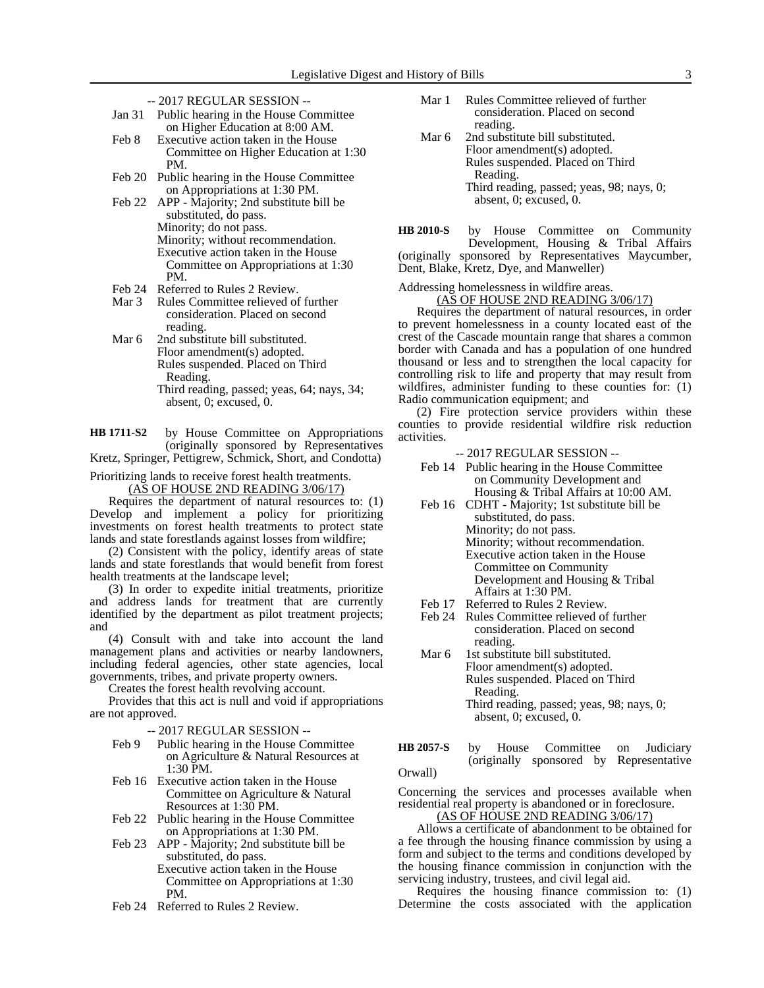| Jan 31           | Public hearing in the House Committee |
|------------------|---------------------------------------|
|                  | on Higher Education at 8:00 AM.       |
| $F_0 h$ $\Omega$ | Executive action taken in the House   |

- xecutive action taken in the House Committee on Higher Education at 1:30 PM.
- Feb 20 Public hearing in the House Committee on Appropriations at 1:30 PM.
- Feb 22 APP Majority; 2nd substitute bill be substituted, do pass. Minority; do not pass. Minority; without recommendation. Executive action taken in the House Committee on Appropriations at 1:30
- PM. Feb 24 Referred to Rules 2 Review.
- Mar 3 Rules Committee relieved of further consideration. Placed on second reading.
- Mar 6 2nd substitute bill substituted. Floor amendment(s) adopted. Rules suspended. Placed on Third Reading.
	- Third reading, passed; yeas, 64; nays, 34; absent, 0; excused, 0.

by House Committee on Appropriations (originally sponsored by Representatives Kretz, Springer, Pettigrew, Schmick, Short, and Condotta) **HB 1711-S2**

Prioritizing lands to receive forest health treatments.

(AS OF HOUSE 2ND READING 3/06/17)

Requires the department of natural resources to: (1) Develop and implement a policy for prioritizing investments on forest health treatments to protect state lands and state forestlands against losses from wildfire;

(2) Consistent with the policy, identify areas of state lands and state forestlands that would benefit from forest health treatments at the landscape level;

(3) In order to expedite initial treatments, prioritize and address lands for treatment that are currently identified by the department as pilot treatment projects; and

(4) Consult with and take into account the land management plans and activities or nearby landowners, including federal agencies, other state agencies, local governments, tribes, and private property owners.

Creates the forest health revolving account.

Provides that this act is null and void if appropriations are not approved.

-- 2017 REGULAR SESSION --

- Feb 9 Public hearing in the House Committee on Agriculture & Natural Resources at 1:30 PM.
- Feb 16 Executive action taken in the House Committee on Agriculture & Natural Resources at 1:30 PM.
- Feb 22 Public hearing in the House Committee on Appropriations at 1:30 PM.
- Feb 23 APP Majority; 2nd substitute bill be substituted, do pass. Executive action taken in the House Committee on Appropriations at 1:30 PM.
- Feb 24 Referred to Rules 2 Review.
- Mar 1 Rules Committee relieved of further consideration. Placed on second reading.
- Mar 6 2nd substitute bill substituted. Floor amendment(s) adopted. Rules suspended. Placed on Third Reading. Third reading, passed; yeas, 98; nays, 0; absent, 0; excused, 0.
- by House Committee on Community Development, Housing & Tribal Affairs (originally sponsored by Representatives Maycumber, Dent, Blake, Kretz, Dye, and Manweller) **HB 2010-S**

Addressing homelessness in wildfire areas.

(AS OF HOUSE 2ND READING 3/06/17)

Requires the department of natural resources, in order to prevent homelessness in a county located east of the crest of the Cascade mountain range that shares a common border with Canada and has a population of one hundred thousand or less and to strengthen the local capacity for controlling risk to life and property that may result from wildfires, administer funding to these counties for: (1) Radio communication equipment; and

(2) Fire protection service providers within these counties to provide residential wildfire risk reduction activities.

-- 2017 REGULAR SESSION --

- Feb 14 Public hearing in the House Committee on Community Development and Housing & Tribal Affairs at 10:00 AM.
- Feb 16 CDHT Majority; 1st substitute bill be substituted, do pass. Minority; do not pass. Minority; without recommendation. Executive action taken in the House Committee on Community Development and Housing & Tribal Affairs at 1:30 PM.
- Feb 17 Referred to Rules 2 Review.
- Feb 24 Rules Committee relieved of further consideration. Placed on second reading.
- Mar 6 1st substitute bill substituted. Floor amendment(s) adopted. Rules suspended. Placed on Third Reading. Third reading, passed; yeas, 98; nays, 0; absent, 0; excused, 0.
- by House Committee on Judiciary (originally sponsored by Representative Orwall) **HB 2057-S**

Concerning the services and processes available when residential real property is abandoned or in foreclosure.

(AS OF HOUSE 2ND READING 3/06/17)

Allows a certificate of abandonment to be obtained for a fee through the housing finance commission by using a form and subject to the terms and conditions developed by the housing finance commission in conjunction with the servicing industry, trustees, and civil legal aid.

Requires the housing finance commission to: (1) Determine the costs associated with the application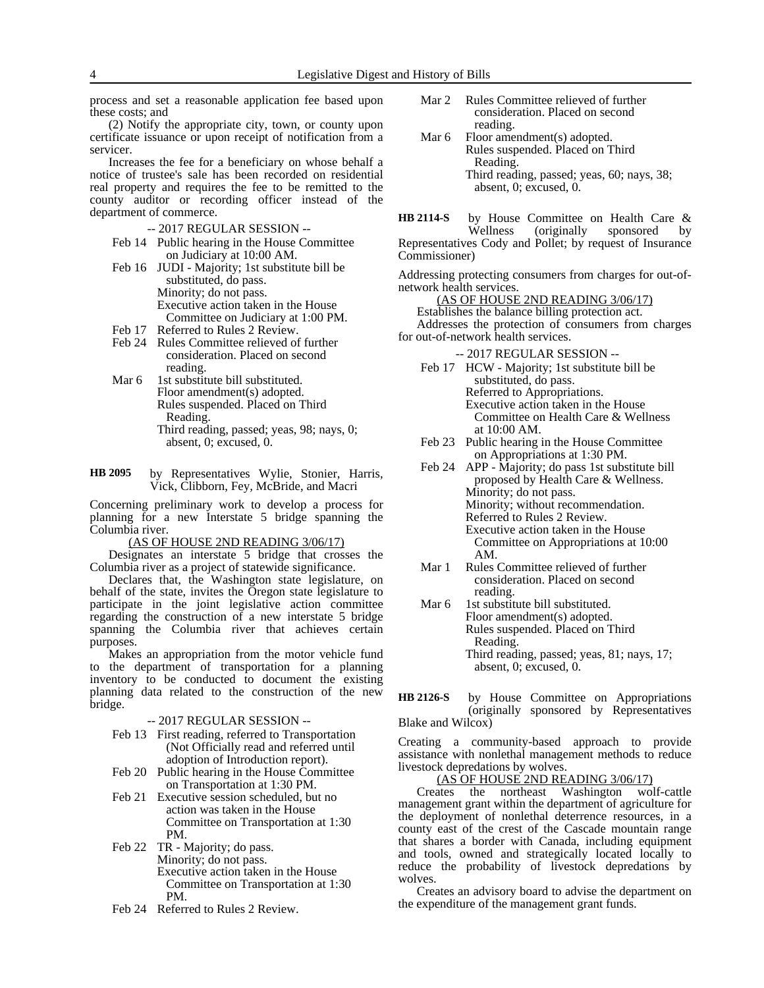process and set a reasonable application fee based upon these costs; and

(2) Notify the appropriate city, town, or county upon certificate issuance or upon receipt of notification from a servicer.

Increases the fee for a beneficiary on whose behalf a notice of trustee's sale has been recorded on residential real property and requires the fee to be remitted to the county auditor or recording officer instead of the department of commerce.

-- 2017 REGULAR SESSION --

- Feb 14 Public hearing in the House Committee on Judiciary at 10:00 AM.
- Feb 16 JUDI Majority; 1st substitute bill be substituted, do pass. Minority; do not pass. Executive action taken in the House Committee on Judiciary at 1:00 PM.
- Feb 17 Referred to Rules 2 Review.
- Feb 24 Rules Committee relieved of further consideration. Placed on second reading.
- Mar 6 1st substitute bill substituted. Floor amendment(s) adopted. Rules suspended. Placed on Third Reading. Third reading, passed; yeas, 98; nays, 0; absent, 0; excused, 0.
- by Representatives Wylie, Stonier, Harris, Vick, Clibborn, Fey, McBride, and Macri **HB 2095**

Concerning preliminary work to develop a process for planning for a new Interstate 5 bridge spanning the Columbia river.

(AS OF HOUSE 2ND READING 3/06/17)

Designates an interstate 5 bridge that crosses the Columbia river as a project of statewide significance.

Declares that, the Washington state legislature, on behalf of the state, invites the Oregon state legislature to participate in the joint legislative action committee regarding the construction of a new interstate 5 bridge spanning the Columbia river that achieves certain purposes.

Makes an appropriation from the motor vehicle fund to the department of transportation for a planning inventory to be conducted to document the existing planning data related to the construction of the new bridge.

-- 2017 REGULAR SESSION --

- Feb 13 First reading, referred to Transportation (Not Officially read and referred until adoption of Introduction report).
- Feb 20 Public hearing in the House Committee on Transportation at 1:30 PM.
- Feb 21 Executive session scheduled, but no action was taken in the House Committee on Transportation at 1:30 PM.
- Feb 22 TR Majority; do pass. Minority; do not pass. Executive action taken in the House Committee on Transportation at 1:30 PM.
- Feb 24 Referred to Rules 2 Review.
- Mar 2 Rules Committee relieved of further consideration. Placed on second reading.
- Mar 6 Floor amendment(s) adopted. Rules suspended. Placed on Third Reading. Third reading, passed; yeas, 60; nays, 38; absent, 0; excused, 0.
- by House Committee on Health Care & Wellness (originally sponsored by Representatives Cody and Pollet; by request of Insurance Commissioner) **HB 2114-S**

Addressing protecting consumers from charges for out-ofnetwork health services.

(AS OF HOUSE 2ND READING 3/06/17) Establishes the balance billing protection act. Addresses the protection of consumers from charges for out-of-network health services.

-- 2017 REGULAR SESSION --

- Feb 17 HCW Majority; 1st substitute bill be substituted, do pass. Referred to Appropriations. Executive action taken in the House Committee on Health Care & Wellness at 10:00 AM.
- Feb 23 Public hearing in the House Committee on Appropriations at 1:30 PM.
- Feb 24 APP Majority; do pass 1st substitute bill proposed by Health Care & Wellness. Minority; do not pass. Minority; without recommendation. Referred to Rules 2 Review. Executive action taken in the House Committee on Appropriations at 10:00 AM.
- Mar 1 Rules Committee relieved of further consideration. Placed on second reading.
- Mar 6 1st substitute bill substituted. Floor amendment(s) adopted. Rules suspended. Placed on Third Reading. Third reading, passed; yeas, 81; nays, 17; absent, 0; excused, 0.

by House Committee on Appropriations (originally sponsored by Representatives Blake and Wilcox) **HB 2126-S**

Creating a community-based approach to provide assistance with nonlethal management methods to reduce livestock depredations by wolves.

(AS OF HOUSE 2ND READING 3/06/17)<br>ates the northeast Washington wo Creates the northeast Washington wolf-cattle management grant within the department of agriculture for the deployment of nonlethal deterrence resources, in a county east of the crest of the Cascade mountain range that shares a border with Canada, including equipment and tools, owned and strategically located locally to reduce the probability of livestock depredations by wolves.

Creates an advisory board to advise the department on the expenditure of the management grant funds.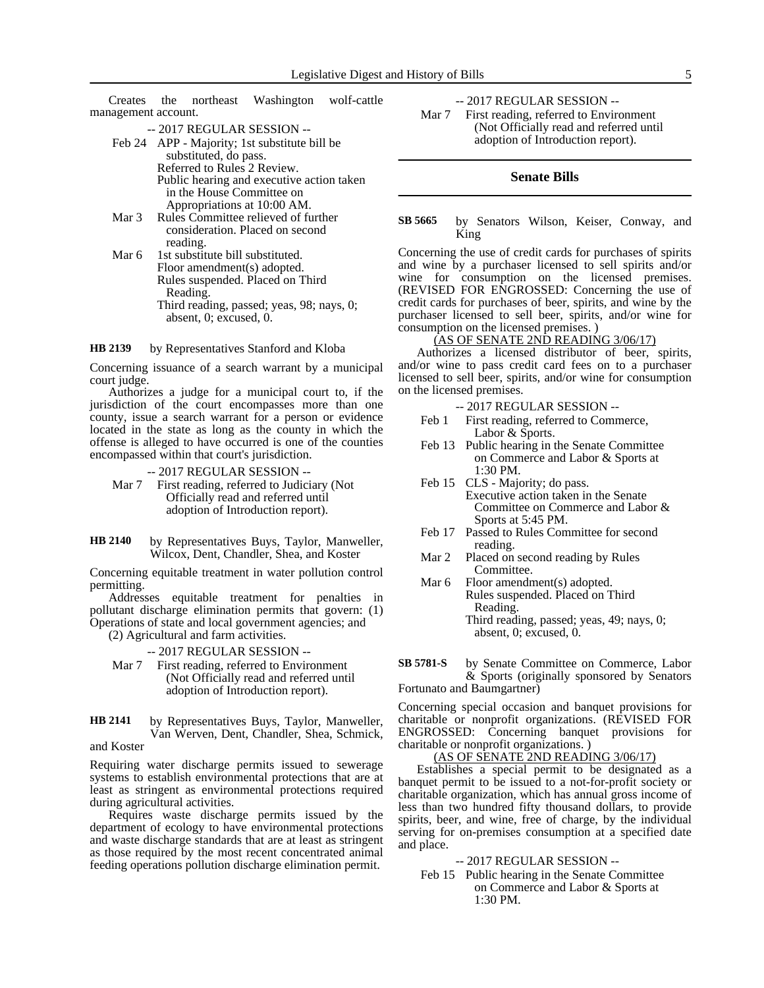Creates the northeast Washington wolf-cattle management account.

-- 2017 REGULAR SESSION --

- Feb 24 APP Majority; 1st substitute bill be substituted, do pass. Referred to Rules 2 Review. Public hearing and executive action taken in the House Committee on Appropriations at 10:00 AM.
- Mar 3 Rules Committee relieved of further consideration. Placed on second reading.
- Mar 6 1st substitute bill substituted. Floor amendment(s) adopted. Rules suspended. Placed on Third Reading. Third reading, passed; yeas, 98; nays, 0; absent, 0; excused, 0.

by Representatives Stanford and Kloba **HB 2139**

Concerning issuance of a search warrant by a municipal court judge.

Authorizes a judge for a municipal court to, if the jurisdiction of the court encompasses more than one county, issue a search warrant for a person or evidence located in the state as long as the county in which the offense is alleged to have occurred is one of the counties encompassed within that court's jurisdiction.

-- 2017 REGULAR SESSION --

Mar 7 First reading, referred to Judiciary (Not Officially read and referred until adoption of Introduction report).

by Representatives Buys, Taylor, Manweller, Wilcox, Dent, Chandler, Shea, and Koster **HB 2140**

Concerning equitable treatment in water pollution control permitting.

Addresses equitable treatment for penalties in pollutant discharge elimination permits that govern: (1) Operations of state and local government agencies; and

(2) Agricultural and farm activities.

-- 2017 REGULAR SESSION --

- Mar 7 First reading, referred to Environment (Not Officially read and referred until adoption of Introduction report).
- by Representatives Buys, Taylor, Manweller, Van Werven, Dent, Chandler, Shea, Schmick, and Koster **HB 2141**

Requiring water discharge permits issued to sewerage systems to establish environmental protections that are at least as stringent as environmental protections required during agricultural activities.

Requires waste discharge permits issued by the department of ecology to have environmental protections and waste discharge standards that are at least as stringent as those required by the most recent concentrated animal feeding operations pollution discharge elimination permit.

-- 2017 REGULAR SESSION -- Mar 7 First reading, referred to Environment

(Not Officially read and referred until adoption of Introduction report).

#### **Senate Bills**

#### by Senators Wilson, Keiser, Conway, and King **SB 5665**

Concerning the use of credit cards for purchases of spirits and wine by a purchaser licensed to sell spirits and/or wine for consumption on the licensed premises. (REVISED FOR ENGROSSED: Concerning the use of credit cards for purchases of beer, spirits, and wine by the purchaser licensed to sell beer, spirits, and/or wine for consumption on the licensed premises. )

## (AS OF SENATE 2ND READING 3/06/17)

Authorizes a licensed distributor of beer, spirits, and/or wine to pass credit card fees on to a purchaser licensed to sell beer, spirits, and/or wine for consumption on the licensed premises.

- -- 2017 REGULAR SESSION --
- Feb 1 First reading, referred to Commerce, Labor & Sports.
- Feb 13 Public hearing in the Senate Committee on Commerce and Labor & Sports at 1:30 PM.
- Feb 15 CLS Majority; do pass. Executive action taken in the Senate Committee on Commerce and Labor & Sports at 5:45 PM.
- Feb 17 Passed to Rules Committee for second reading.
- Mar 2 Placed on second reading by Rules Committee.
- Mar 6 Floor amendment(s) adopted. Rules suspended. Placed on Third Reading. Third reading, passed; yeas, 49; nays, 0; absent, 0; excused, 0.

by Senate Committee on Commerce, Labor & Sports (originally sponsored by Senators Fortunato and Baumgartner) **SB 5781-S**

Concerning special occasion and banquet provisions for charitable or nonprofit organizations. (REVISED FOR ENGROSSED: Concerning banquet provisions for charitable or nonprofit organizations. )

(AS OF SENATE 2ND READING 3/06/17)

Establishes a special permit to be designated as a banquet permit to be issued to a not-for-profit society or charitable organization, which has annual gross income of less than two hundred fifty thousand dollars, to provide spirits, beer, and wine, free of charge, by the individual serving for on-premises consumption at a specified date and place.

-- 2017 REGULAR SESSION --

Feb 15 Public hearing in the Senate Committee on Commerce and Labor & Sports at 1:30 PM.